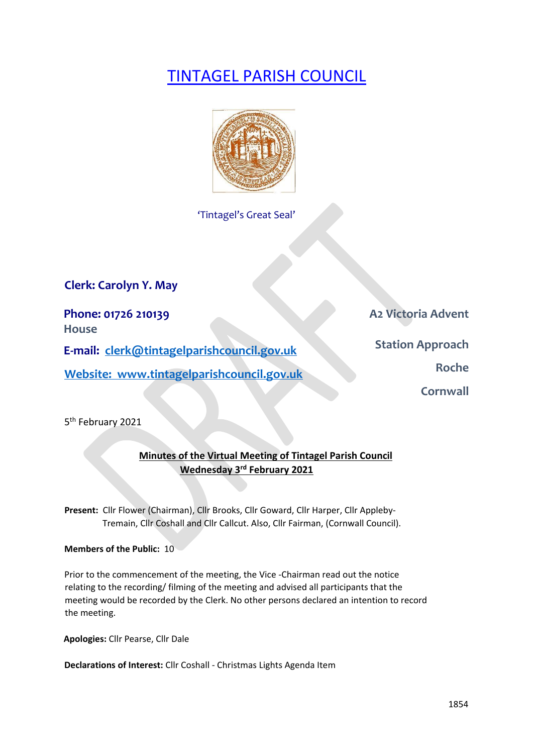# TINTAGEL PARISH COUNCIL



'Tintagel's Great Seal'

**Clerk: Carolyn Y. May** 

**Phone: 01726 210139 A2 Victoria Advent** 

**House** 

**E-mail: clerk@tintagelparishcouncil.gov.uk** 

**Website:** www.tintagelparishcouncil.gov.uk **Roche** Roche

**Station Approach** 

**Cornwall** 

5<sup>th</sup> February 2021

# **Minutes of the Virtual Meeting of Tintagel Parish Council Wednesday 3 rd February 2021**

**Present:** Cllr Flower (Chairman), Cllr Brooks, Cllr Goward, Cllr Harper, Cllr Appleby-Tremain, Cllr Coshall and Cllr Callcut. Also, Cllr Fairman, (Cornwall Council).

**Members of the Public:** 10

Prior to the commencement of the meeting, the Vice -Chairman read out the notice relating to the recording/ filming of the meeting and advised all participants that the meeting would be recorded by the Clerk. No other persons declared an intention to record the meeting.

**Apologies:** Cllr Pearse, Cllr Dale

**Declarations of Interest:** Cllr Coshall - Christmas Lights Agenda Item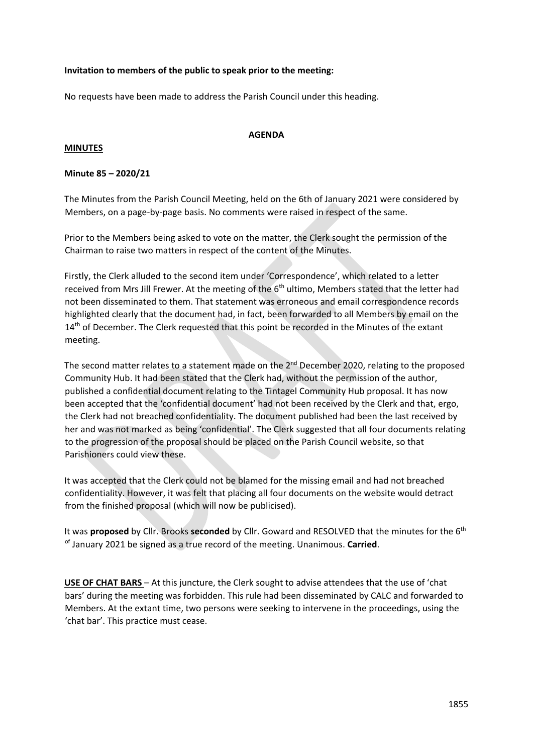# **Invitation to members of the public to speak prior to the meeting:**

No requests have been made to address the Parish Council under this heading.

## **MINUTES**

## **AGENDA**

# **Minute 85 – 2020/21**

The Minutes from the Parish Council Meeting, held on the 6th of January 2021 were considered by Members, on a page-by-page basis. No comments were raised in respect of the same.

Prior to the Members being asked to vote on the matter, the Clerk sought the permission of the Chairman to raise two matters in respect of the content of the Minutes.

Firstly, the Clerk alluded to the second item under 'Correspondence', which related to a letter received from Mrs Jill Frewer. At the meeting of the 6<sup>th</sup> ultimo, Members stated that the letter had not been disseminated to them. That statement was erroneous and email correspondence records highlighted clearly that the document had, in fact, been forwarded to all Members by email on the 14<sup>th</sup> of December. The Clerk requested that this point be recorded in the Minutes of the extant meeting.

The second matter relates to a statement made on the 2<sup>nd</sup> December 2020, relating to the proposed Community Hub. It had been stated that the Clerk had, without the permission of the author, published a confidential document relating to the Tintagel Community Hub proposal. It has now been accepted that the 'confidential document' had not been received by the Clerk and that, ergo, the Clerk had not breached confidentiality. The document published had been the last received by her and was not marked as being 'confidential'. The Clerk suggested that all four documents relating to the progression of the proposal should be placed on the Parish Council website, so that Parishioners could view these.

It was accepted that the Clerk could not be blamed for the missing email and had not breached confidentiality. However, it was felt that placing all four documents on the website would detract from the finished proposal (which will now be publicised).

It was **proposed** by Cllr. Brooks seconded by Cllr. Goward and RESOLVED that the minutes for the 6<sup>th</sup> of January 2021 be signed as a true record of the meeting. Unanimous. **Carried**.

**USE OF CHAT BARS** – At this juncture, the Clerk sought to advise attendees that the use of 'chat bars' during the meeting was forbidden. This rule had been disseminated by CALC and forwarded to Members. At the extant time, two persons were seeking to intervene in the proceedings, using the 'chat bar'. This practice must cease.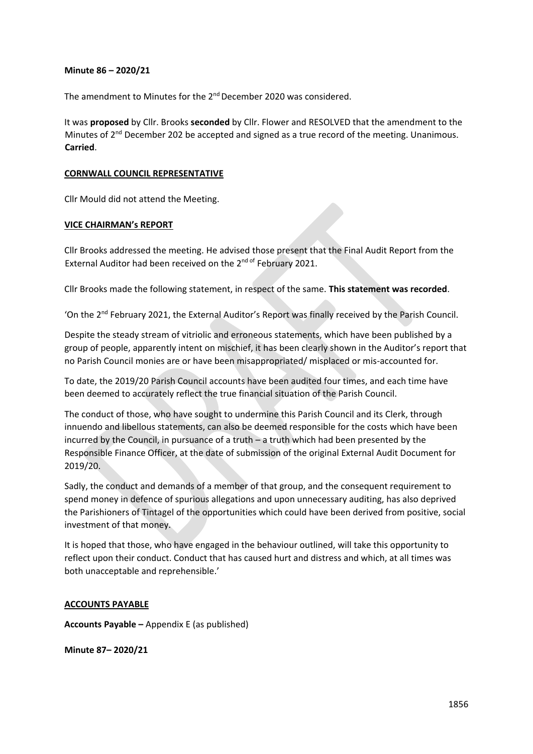#### **Minute 86 – 2020/21**

The amendment to Minutes for the 2<sup>nd</sup> December 2020 was considered.

It was **proposed** by Cllr. Brooks **seconded** by Cllr. Flower and RESOLVED that the amendment to the Minutes of 2<sup>nd</sup> December 202 be accepted and signed as a true record of the meeting. Unanimous. **Carried**.

#### **CORNWALL COUNCIL REPRESENTATIVE**

Cllr Mould did not attend the Meeting.

#### **VICE CHAIRMAN's REPORT**

Cllr Brooks addressed the meeting. He advised those present that the Final Audit Report from the External Auditor had been received on the 2<sup>nd of</sup> February 2021.

Cllr Brooks made the following statement, in respect of the same. **This statement was recorded**.

'On the 2<sup>nd</sup> February 2021, the External Auditor's Report was finally received by the Parish Council.

Despite the steady stream of vitriolic and erroneous statements, which have been published by a group of people, apparently intent on mischief, it has been clearly shown in the Auditor's report that no Parish Council monies are or have been misappropriated/ misplaced or mis-accounted for.

To date, the 2019/20 Parish Council accounts have been audited four times, and each time have been deemed to accurately reflect the true financial situation of the Parish Council.

The conduct of those, who have sought to undermine this Parish Council and its Clerk, through innuendo and libellous statements, can also be deemed responsible for the costs which have been incurred by the Council, in pursuance of a truth – a truth which had been presented by the Responsible Finance Officer, at the date of submission of the original External Audit Document for 2019/20.

Sadly, the conduct and demands of a member of that group, and the consequent requirement to spend money in defence of spurious allegations and upon unnecessary auditing, has also deprived the Parishioners of Tintagel of the opportunities which could have been derived from positive, social investment of that money.

It is hoped that those, who have engaged in the behaviour outlined, will take this opportunity to reflect upon their conduct. Conduct that has caused hurt and distress and which, at all times was both unacceptable and reprehensible.'

#### **ACCOUNTS PAYABLE**

**Accounts Payable –** Appendix E (as published)

**Minute 87– 2020/21**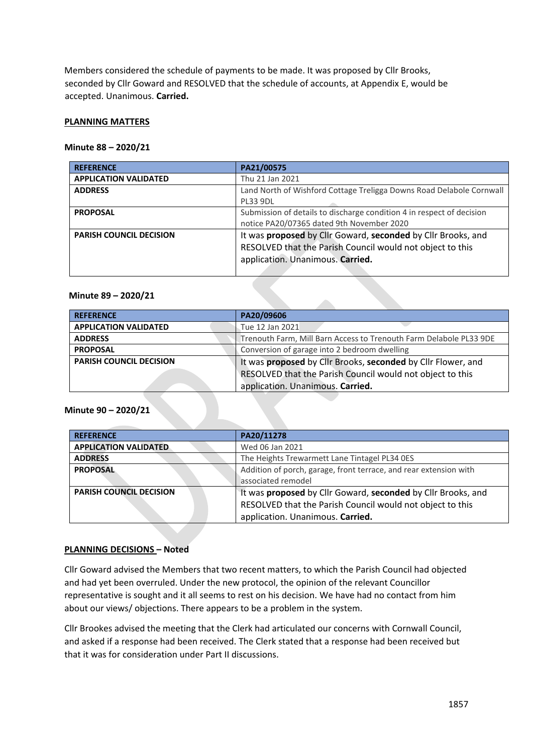Members considered the schedule of payments to be made. It was proposed by Cllr Brooks, seconded by Cllr Goward and RESOLVED that the schedule of accounts, at Appendix E, would be accepted. Unanimous. **Carried.**

#### **PLANNING MATTERS**

#### **Minute 88 – 2020/21**

| <b>REFERENCE</b>               | PA21/00575                                                            |
|--------------------------------|-----------------------------------------------------------------------|
| <b>APPLICATION VALIDATED</b>   | Thu 21 Jan 2021                                                       |
| <b>ADDRESS</b>                 | Land North of Wishford Cottage Treligga Downs Road Delabole Cornwall  |
|                                | <b>PL33 9DL</b>                                                       |
| <b>PROPOSAL</b>                | Submission of details to discharge condition 4 in respect of decision |
|                                | notice PA20/07365 dated 9th November 2020                             |
| <b>PARISH COUNCIL DECISION</b> | It was proposed by Cllr Goward, seconded by Cllr Brooks, and          |
|                                | RESOLVED that the Parish Council would not object to this             |
|                                | application. Unanimous. Carried.                                      |
|                                |                                                                       |

#### **Minute 89 – 2020/21**

| <b>REFERENCE</b>               | PA20/09606                                                         |
|--------------------------------|--------------------------------------------------------------------|
| <b>APPLICATION VALIDATED</b>   | Tue 12 Jan 2021                                                    |
| <b>ADDRESS</b>                 | Trenouth Farm, Mill Barn Access to Trenouth Farm Delabole PL33 9DE |
| <b>PROPOSAL</b>                | Conversion of garage into 2 bedroom dwelling                       |
| <b>PARISH COUNCIL DECISION</b> | It was proposed by Cllr Brooks, seconded by Cllr Flower, and       |
|                                | RESOLVED that the Parish Council would not object to this          |
|                                | application. Unanimous. Carried.                                   |

#### **Minute 90 – 2020/21**

| <b>REFERENCE</b>               | PA20/11278                                                        |
|--------------------------------|-------------------------------------------------------------------|
| <b>APPLICATION VALIDATED</b>   | Wed 06 Jan 2021                                                   |
| <b>ADDRESS</b>                 | The Heights Trewarmett Lane Tintagel PL34 OES                     |
| <b>PROPOSAL</b>                | Addition of porch, garage, front terrace, and rear extension with |
|                                | associated remodel                                                |
| <b>PARISH COUNCIL DECISION</b> | It was proposed by Cllr Goward, seconded by Cllr Brooks, and      |
|                                | RESOLVED that the Parish Council would not object to this         |
|                                | application. Unanimous. Carried.                                  |

#### **PLANNING DECISIONS – Noted**

Cllr Goward advised the Members that two recent matters, to which the Parish Council had objected and had yet been overruled. Under the new protocol, the opinion of the relevant Councillor representative is sought and it all seems to rest on his decision. We have had no contact from him about our views/ objections. There appears to be a problem in the system.

Cllr Brookes advised the meeting that the Clerk had articulated our concerns with Cornwall Council, and asked if a response had been received. The Clerk stated that a response had been received but that it was for consideration under Part II discussions.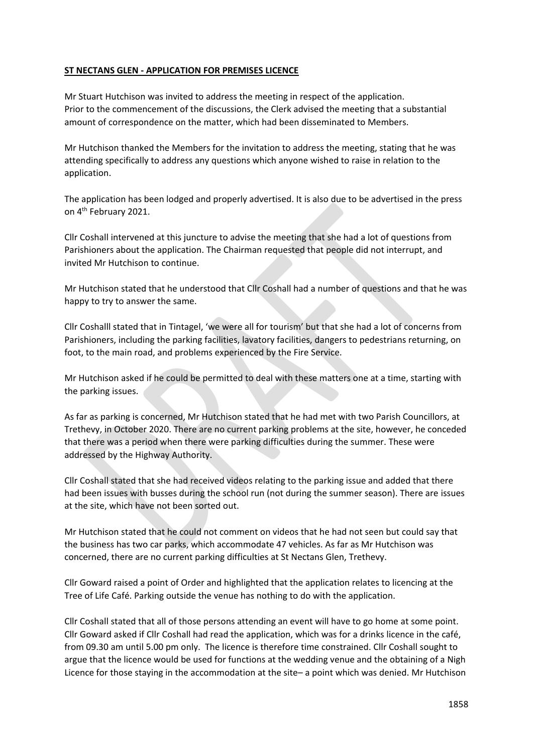# **ST NECTANS GLEN - APPLICATION FOR PREMISES LICENCE**

Mr Stuart Hutchison was invited to address the meeting in respect of the application. Prior to the commencement of the discussions, the Clerk advised the meeting that a substantial amount of correspondence on the matter, which had been disseminated to Members.

Mr Hutchison thanked the Members for the invitation to address the meeting, stating that he was attending specifically to address any questions which anyone wished to raise in relation to the application.

The application has been lodged and properly advertised. It is also due to be advertised in the press on 4th February 2021.

Cllr Coshall intervened at this juncture to advise the meeting that she had a lot of questions from Parishioners about the application. The Chairman requested that people did not interrupt, and invited Mr Hutchison to continue.

Mr Hutchison stated that he understood that Cllr Coshall had a number of questions and that he was happy to try to answer the same.

Cllr Coshalll stated that in Tintagel, 'we were all for tourism' but that she had a lot of concerns from Parishioners, including the parking facilities, lavatory facilities, dangers to pedestrians returning, on foot, to the main road, and problems experienced by the Fire Service.

Mr Hutchison asked if he could be permitted to deal with these matters one at a time, starting with the parking issues.

As far as parking is concerned, Mr Hutchison stated that he had met with two Parish Councillors, at Trethevy, in October 2020. There are no current parking problems at the site, however, he conceded that there was a period when there were parking difficulties during the summer. These were addressed by the Highway Authority.

Cllr Coshall stated that she had received videos relating to the parking issue and added that there had been issues with busses during the school run (not during the summer season). There are issues at the site, which have not been sorted out.

Mr Hutchison stated that he could not comment on videos that he had not seen but could say that the business has two car parks, which accommodate 47 vehicles. As far as Mr Hutchison was concerned, there are no current parking difficulties at St Nectans Glen, Trethevy.

Cllr Goward raised a point of Order and highlighted that the application relates to licencing at the Tree of Life Café. Parking outside the venue has nothing to do with the application.

Cllr Coshall stated that all of those persons attending an event will have to go home at some point. Cllr Goward asked if Cllr Coshall had read the application, which was for a drinks licence in the café, from 09.30 am until 5.00 pm only. The licence is therefore time constrained. Cllr Coshall sought to argue that the licence would be used for functions at the wedding venue and the obtaining of a Nigh Licence for those staying in the accommodation at the site– a point which was denied. Mr Hutchison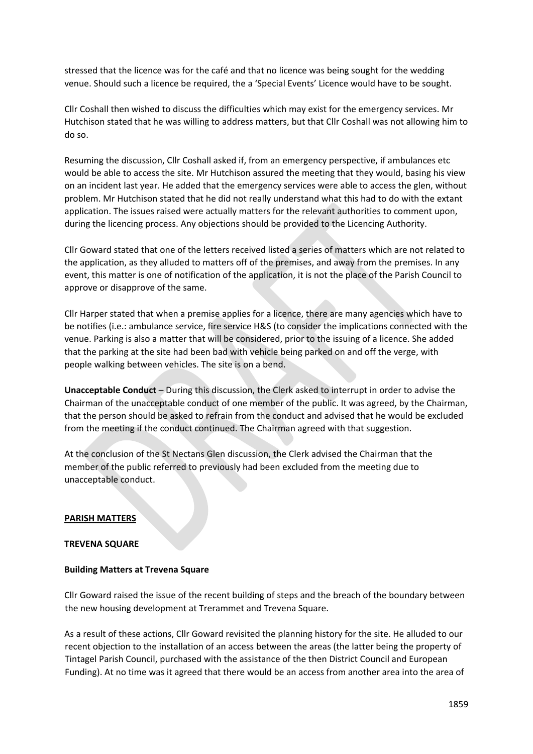stressed that the licence was for the café and that no licence was being sought for the wedding venue. Should such a licence be required, the a 'Special Events' Licence would have to be sought.

Cllr Coshall then wished to discuss the difficulties which may exist for the emergency services. Mr Hutchison stated that he was willing to address matters, but that Cllr Coshall was not allowing him to do so.

Resuming the discussion, Cllr Coshall asked if, from an emergency perspective, if ambulances etc would be able to access the site. Mr Hutchison assured the meeting that they would, basing his view on an incident last year. He added that the emergency services were able to access the glen, without problem. Mr Hutchison stated that he did not really understand what this had to do with the extant application. The issues raised were actually matters for the relevant authorities to comment upon, during the licencing process. Any objections should be provided to the Licencing Authority.

Cllr Goward stated that one of the letters received listed a series of matters which are not related to the application, as they alluded to matters off of the premises, and away from the premises. In any event, this matter is one of notification of the application, it is not the place of the Parish Council to approve or disapprove of the same.

Cllr Harper stated that when a premise applies for a licence, there are many agencies which have to be notifies (i.e.: ambulance service, fire service H&S (to consider the implications connected with the venue. Parking is also a matter that will be considered, prior to the issuing of a licence. She added that the parking at the site had been bad with vehicle being parked on and off the verge, with people walking between vehicles. The site is on a bend.

**Unacceptable Conduct** – During this discussion, the Clerk asked to interrupt in order to advise the Chairman of the unacceptable conduct of one member of the public. It was agreed, by the Chairman, that the person should be asked to refrain from the conduct and advised that he would be excluded from the meeting if the conduct continued. The Chairman agreed with that suggestion.

At the conclusion of the St Nectans Glen discussion, the Clerk advised the Chairman that the member of the public referred to previously had been excluded from the meeting due to unacceptable conduct.

#### **PARISH MATTERS**

#### **TREVENA SQUARE**

#### **Building Matters at Trevena Square**

Cllr Goward raised the issue of the recent building of steps and the breach of the boundary between the new housing development at Trerammet and Trevena Square.

As a result of these actions, Cllr Goward revisited the planning history for the site. He alluded to our recent objection to the installation of an access between the areas (the latter being the property of Tintagel Parish Council, purchased with the assistance of the then District Council and European Funding). At no time was it agreed that there would be an access from another area into the area of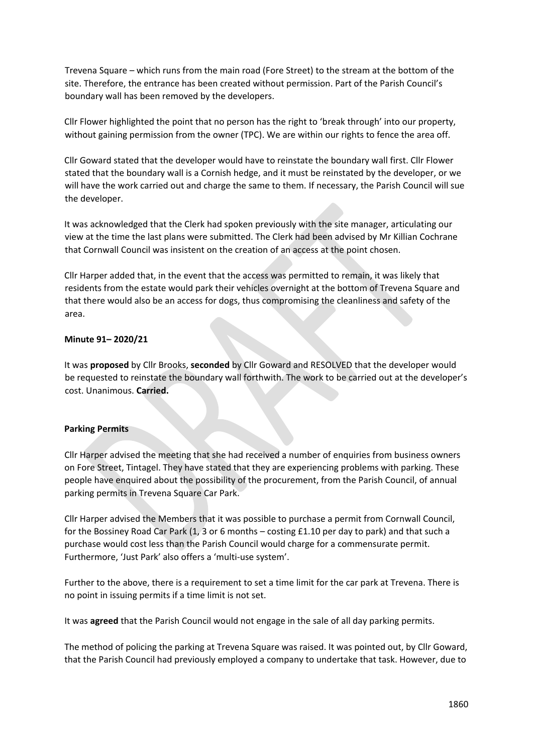Trevena Square – which runs from the main road (Fore Street) to the stream at the bottom of the site. Therefore, the entrance has been created without permission. Part of the Parish Council's boundary wall has been removed by the developers.

Cllr Flower highlighted the point that no person has the right to 'break through' into our property, without gaining permission from the owner (TPC). We are within our rights to fence the area off.

Cllr Goward stated that the developer would have to reinstate the boundary wall first. Cllr Flower stated that the boundary wall is a Cornish hedge, and it must be reinstated by the developer, or we will have the work carried out and charge the same to them. If necessary, the Parish Council will sue the developer.

It was acknowledged that the Clerk had spoken previously with the site manager, articulating our view at the time the last plans were submitted. The Clerk had been advised by Mr Killian Cochrane that Cornwall Council was insistent on the creation of an access at the point chosen.

Cllr Harper added that, in the event that the access was permitted to remain, it was likely that residents from the estate would park their vehicles overnight at the bottom of Trevena Square and that there would also be an access for dogs, thus compromising the cleanliness and safety of the area.

# **Minute 91– 2020/21**

It was **proposed** by Cllr Brooks, **seconded** by Cllr Goward and RESOLVED that the developer would be requested to reinstate the boundary wall forthwith. The work to be carried out at the developer's cost. Unanimous. **Carried.**

#### **Parking Permits**

Cllr Harper advised the meeting that she had received a number of enquiries from business owners on Fore Street, Tintagel. They have stated that they are experiencing problems with parking. These people have enquired about the possibility of the procurement, from the Parish Council, of annual parking permits in Trevena Square Car Park.

Cllr Harper advised the Members that it was possible to purchase a permit from Cornwall Council, for the Bossiney Road Car Park (1, 3 or 6 months – costing £1.10 per day to park) and that such a purchase would cost less than the Parish Council would charge for a commensurate permit. Furthermore, 'Just Park' also offers a 'multi-use system'.

Further to the above, there is a requirement to set a time limit for the car park at Trevena. There is no point in issuing permits if a time limit is not set.

It was **agreed** that the Parish Council would not engage in the sale of all day parking permits.

The method of policing the parking at Trevena Square was raised. It was pointed out, by Cllr Goward, that the Parish Council had previously employed a company to undertake that task. However, due to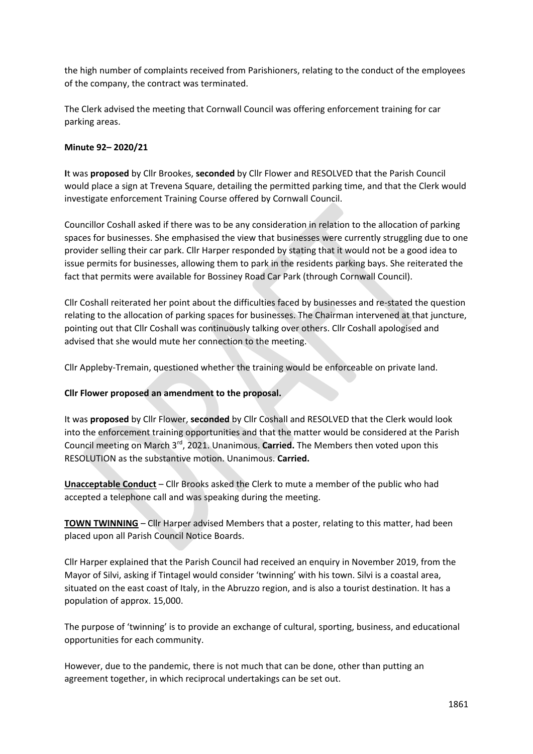the high number of complaints received from Parishioners, relating to the conduct of the employees of the company, the contract was terminated.

The Clerk advised the meeting that Cornwall Council was offering enforcement training for car parking areas.

# **Minute 92– 2020/21**

**I**t was **proposed** by Cllr Brookes, **seconded** by Cllr Flower and RESOLVED that the Parish Council would place a sign at Trevena Square, detailing the permitted parking time, and that the Clerk would investigate enforcement Training Course offered by Cornwall Council.

Councillor Coshall asked if there was to be any consideration in relation to the allocation of parking spaces for businesses. She emphasised the view that businesses were currently struggling due to one provider selling their car park. Cllr Harper responded by stating that it would not be a good idea to issue permits for businesses, allowing them to park in the residents parking bays. She reiterated the fact that permits were available for Bossiney Road Car Park (through Cornwall Council).

Cllr Coshall reiterated her point about the difficulties faced by businesses and re-stated the question relating to the allocation of parking spaces for businesses. The Chairman intervened at that juncture, pointing out that Cllr Coshall was continuously talking over others. Cllr Coshall apologised and advised that she would mute her connection to the meeting.

Cllr Appleby-Tremain, questioned whether the training would be enforceable on private land.

#### **Cllr Flower proposed an amendment to the proposal.**

It was **proposed** by Cllr Flower, **seconded** by Cllr Coshall and RESOLVED that the Clerk would look into the enforcement training opportunities and that the matter would be considered at the Parish Council meeting on March 3rd, 2021. Unanimous. **Carried.** The Members then voted upon this RESOLUTION as the substantive motion. Unanimous. **Carried.**

**Unacceptable Conduct** – Cllr Brooks asked the Clerk to mute a member of the public who had accepted a telephone call and was speaking during the meeting.

**TOWN TWINNING** – Cllr Harper advised Members that a poster, relating to this matter, had been placed upon all Parish Council Notice Boards.

Cllr Harper explained that the Parish Council had received an enquiry in November 2019, from the Mayor of Silvi, asking if Tintagel would consider 'twinning' with his town. Silvi is a coastal area, situated on the east coast of Italy, in the Abruzzo region, and is also a tourist destination. It has a population of approx. 15,000.

The purpose of 'twinning' is to provide an exchange of cultural, sporting, business, and educational opportunities for each community.

However, due to the pandemic, there is not much that can be done, other than putting an agreement together, in which reciprocal undertakings can be set out.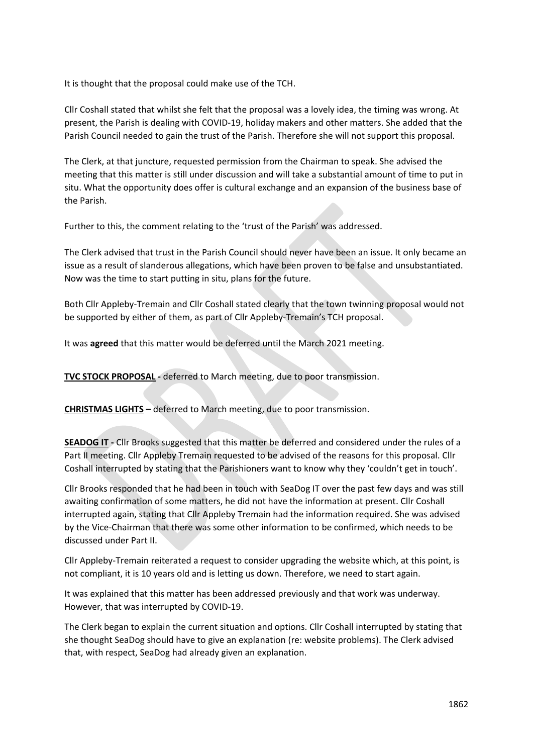It is thought that the proposal could make use of the TCH.

Cllr Coshall stated that whilst she felt that the proposal was a lovely idea, the timing was wrong. At present, the Parish is dealing with COVID-19, holiday makers and other matters. She added that the Parish Council needed to gain the trust of the Parish. Therefore she will not support this proposal.

The Clerk, at that juncture, requested permission from the Chairman to speak. She advised the meeting that this matter is still under discussion and will take a substantial amount of time to put in situ. What the opportunity does offer is cultural exchange and an expansion of the business base of the Parish.

Further to this, the comment relating to the 'trust of the Parish' was addressed.

The Clerk advised that trust in the Parish Council should never have been an issue. It only became an issue as a result of slanderous allegations, which have been proven to be false and unsubstantiated. Now was the time to start putting in situ, plans for the future.

Both Cllr Appleby-Tremain and Cllr Coshall stated clearly that the town twinning proposal would not be supported by either of them, as part of Cllr Appleby-Tremain's TCH proposal.

It was **agreed** that this matter would be deferred until the March 2021 meeting.

**TVC STOCK PROPOSAL -** deferred to March meeting, due to poor transmission.

**CHRISTMAS LIGHTS –** deferred to March meeting, due to poor transmission.

**SEADOG IT -** Cllr Brooks suggested that this matter be deferred and considered under the rules of a Part II meeting. Cllr Appleby Tremain requested to be advised of the reasons for this proposal. Cllr Coshall interrupted by stating that the Parishioners want to know why they 'couldn't get in touch'.

Cllr Brooks responded that he had been in touch with SeaDog IT over the past few days and was still awaiting confirmation of some matters, he did not have the information at present. Cllr Coshall interrupted again, stating that Cllr Appleby Tremain had the information required. She was advised by the Vice-Chairman that there was some other information to be confirmed, which needs to be discussed under Part II.

Cllr Appleby-Tremain reiterated a request to consider upgrading the website which, at this point, is not compliant, it is 10 years old and is letting us down. Therefore, we need to start again.

It was explained that this matter has been addressed previously and that work was underway. However, that was interrupted by COVID-19.

The Clerk began to explain the current situation and options. Cllr Coshall interrupted by stating that she thought SeaDog should have to give an explanation (re: website problems). The Clerk advised that, with respect, SeaDog had already given an explanation.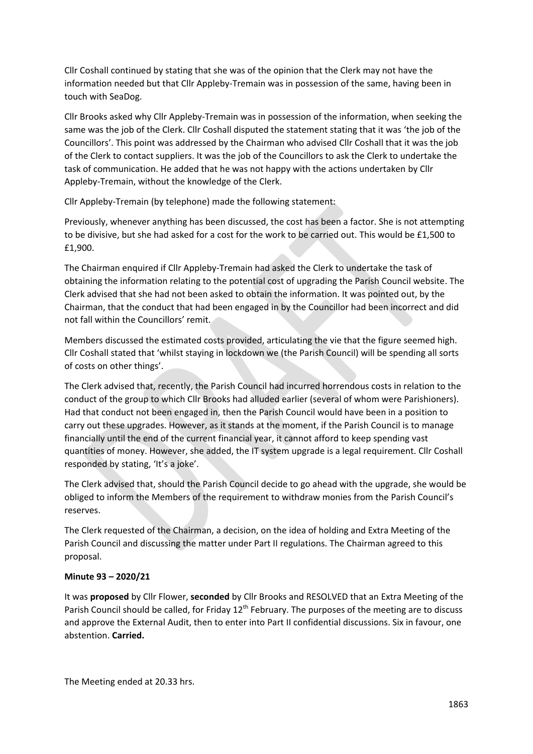Cllr Coshall continued by stating that she was of the opinion that the Clerk may not have the information needed but that Cllr Appleby-Tremain was in possession of the same, having been in touch with SeaDog.

Cllr Brooks asked why Cllr Appleby-Tremain was in possession of the information, when seeking the same was the job of the Clerk. Cllr Coshall disputed the statement stating that it was 'the job of the Councillors'. This point was addressed by the Chairman who advised Cllr Coshall that it was the job of the Clerk to contact suppliers. It was the job of the Councillors to ask the Clerk to undertake the task of communication. He added that he was not happy with the actions undertaken by Cllr Appleby-Tremain, without the knowledge of the Clerk.

Cllr Appleby-Tremain (by telephone) made the following statement:

Previously, whenever anything has been discussed, the cost has been a factor. She is not attempting to be divisive, but she had asked for a cost for the work to be carried out. This would be £1,500 to £1,900.

The Chairman enquired if Cllr Appleby-Tremain had asked the Clerk to undertake the task of obtaining the information relating to the potential cost of upgrading the Parish Council website. The Clerk advised that she had not been asked to obtain the information. It was pointed out, by the Chairman, that the conduct that had been engaged in by the Councillor had been incorrect and did not fall within the Councillors' remit.

Members discussed the estimated costs provided, articulating the vie that the figure seemed high. Cllr Coshall stated that 'whilst staying in lockdown we (the Parish Council) will be spending all sorts of costs on other things'.

The Clerk advised that, recently, the Parish Council had incurred horrendous costs in relation to the conduct of the group to which Cllr Brooks had alluded earlier (several of whom were Parishioners). Had that conduct not been engaged in, then the Parish Council would have been in a position to carry out these upgrades. However, as it stands at the moment, if the Parish Council is to manage financially until the end of the current financial year, it cannot afford to keep spending vast quantities of money. However, she added, the IT system upgrade is a legal requirement. Cllr Coshall responded by stating, 'It's a joke'.

The Clerk advised that, should the Parish Council decide to go ahead with the upgrade, she would be obliged to inform the Members of the requirement to withdraw monies from the Parish Council's reserves.

The Clerk requested of the Chairman, a decision, on the idea of holding and Extra Meeting of the Parish Council and discussing the matter under Part II regulations. The Chairman agreed to this proposal.

#### **Minute 93 – 2020/21**

It was **proposed** by Cllr Flower, **seconded** by Cllr Brooks and RESOLVED that an Extra Meeting of the Parish Council should be called, for Friday 12<sup>th</sup> February. The purposes of the meeting are to discuss and approve the External Audit, then to enter into Part II confidential discussions. Six in favour, one abstention. **Carried.**

The Meeting ended at 20.33 hrs.